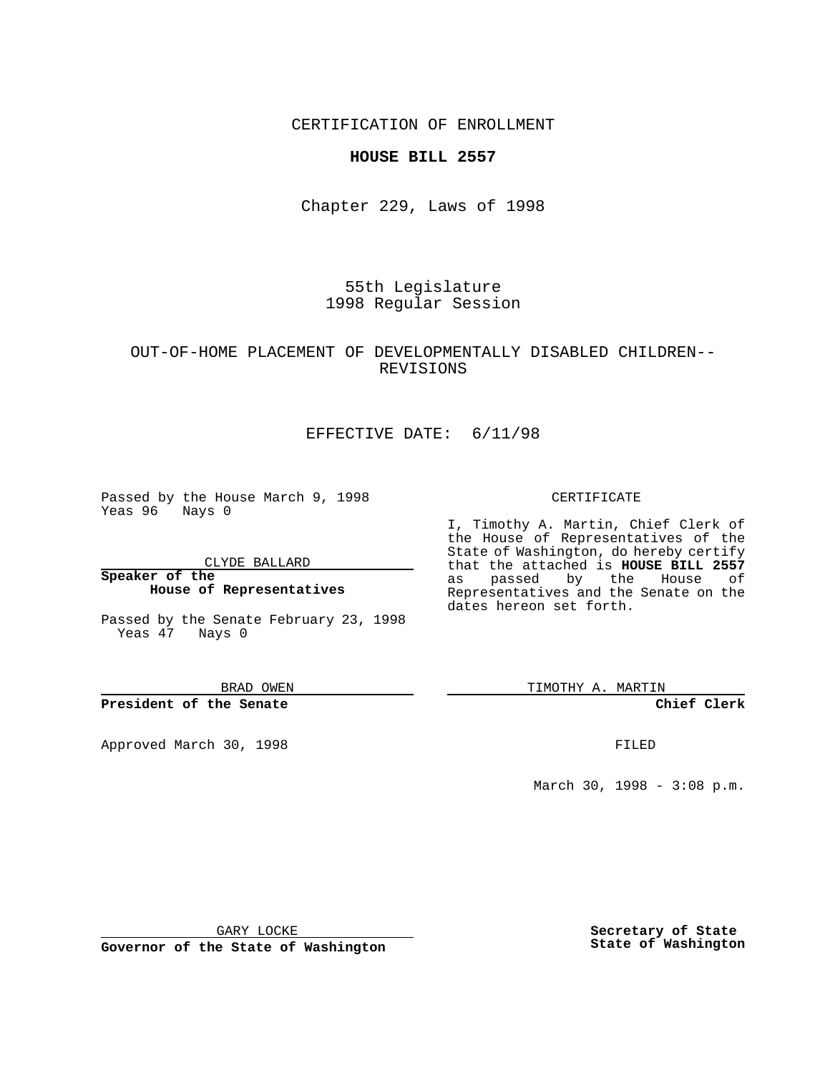CERTIFICATION OF ENROLLMENT

## **HOUSE BILL 2557**

Chapter 229, Laws of 1998

55th Legislature 1998 Regular Session

## OUT-OF-HOME PLACEMENT OF DEVELOPMENTALLY DISABLED CHILDREN-- REVISIONS

# EFFECTIVE DATE: 6/11/98

Passed by the House March 9, 1998 Yeas 96 Nays 0

CLYDE BALLARD

**Speaker of the House of Representatives**

Passed by the Senate February 23, 1998 Yeas 47 Nays 0

BRAD OWEN

**President of the Senate**

Approved March 30, 1998 **FILED** 

#### CERTIFICATE

I, Timothy A. Martin, Chief Clerk of the House of Representatives of the State of Washington, do hereby certify that the attached is **HOUSE BILL 2557** as passed by the House of Representatives and the Senate on the dates hereon set forth.

TIMOTHY A. MARTIN

**Chief Clerk**

March 30, 1998 - 3:08 p.m.

GARY LOCKE

**Governor of the State of Washington**

**Secretary of State State of Washington**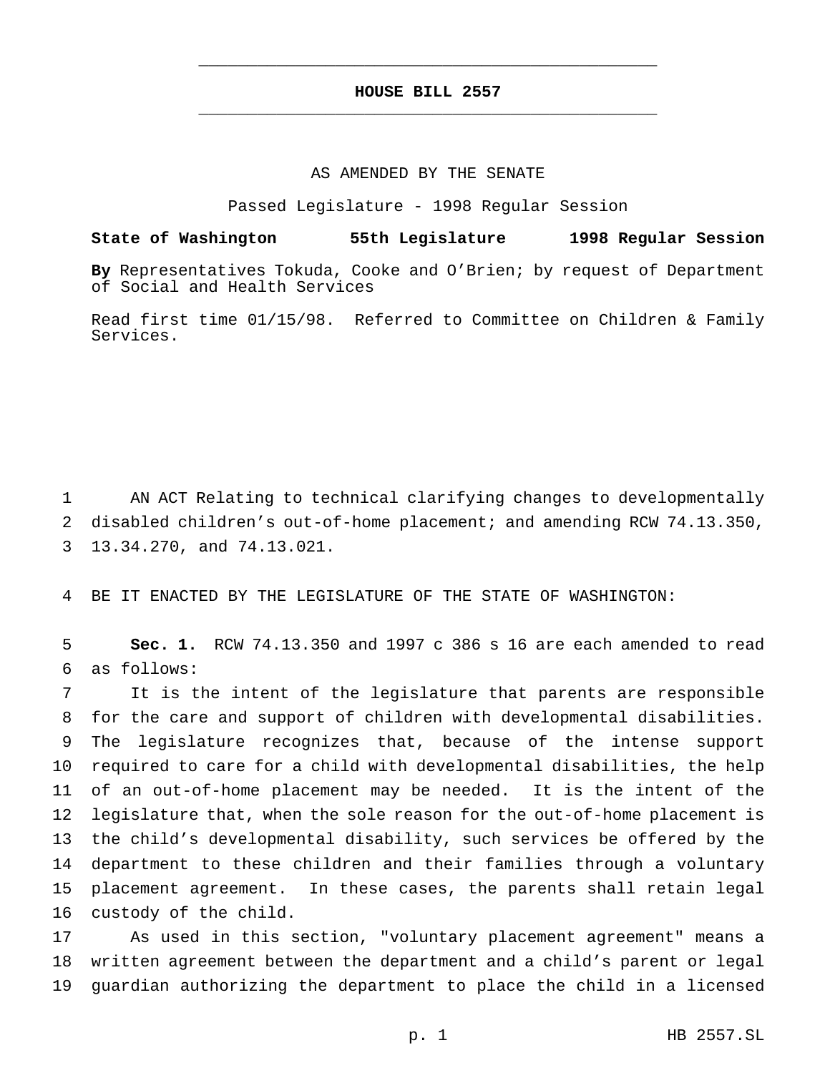## **HOUSE BILL 2557** \_\_\_\_\_\_\_\_\_\_\_\_\_\_\_\_\_\_\_\_\_\_\_\_\_\_\_\_\_\_\_\_\_\_\_\_\_\_\_\_\_\_\_\_\_\_\_

\_\_\_\_\_\_\_\_\_\_\_\_\_\_\_\_\_\_\_\_\_\_\_\_\_\_\_\_\_\_\_\_\_\_\_\_\_\_\_\_\_\_\_\_\_\_\_

### AS AMENDED BY THE SENATE

Passed Legislature - 1998 Regular Session

## **State of Washington 55th Legislature 1998 Regular Session**

**By** Representatives Tokuda, Cooke and O'Brien; by request of Department of Social and Health Services

Read first time 01/15/98. Referred to Committee on Children & Family Services.

 AN ACT Relating to technical clarifying changes to developmentally disabled children's out-of-home placement; and amending RCW 74.13.350, 13.34.270, and 74.13.021.

BE IT ENACTED BY THE LEGISLATURE OF THE STATE OF WASHINGTON:

 **Sec. 1.** RCW 74.13.350 and 1997 c 386 s 16 are each amended to read as follows:

 It is the intent of the legislature that parents are responsible for the care and support of children with developmental disabilities. The legislature recognizes that, because of the intense support required to care for a child with developmental disabilities, the help of an out-of-home placement may be needed. It is the intent of the legislature that, when the sole reason for the out-of-home placement is the child's developmental disability, such services be offered by the department to these children and their families through a voluntary placement agreement. In these cases, the parents shall retain legal custody of the child.

 As used in this section, "voluntary placement agreement" means a written agreement between the department and a child's parent or legal guardian authorizing the department to place the child in a licensed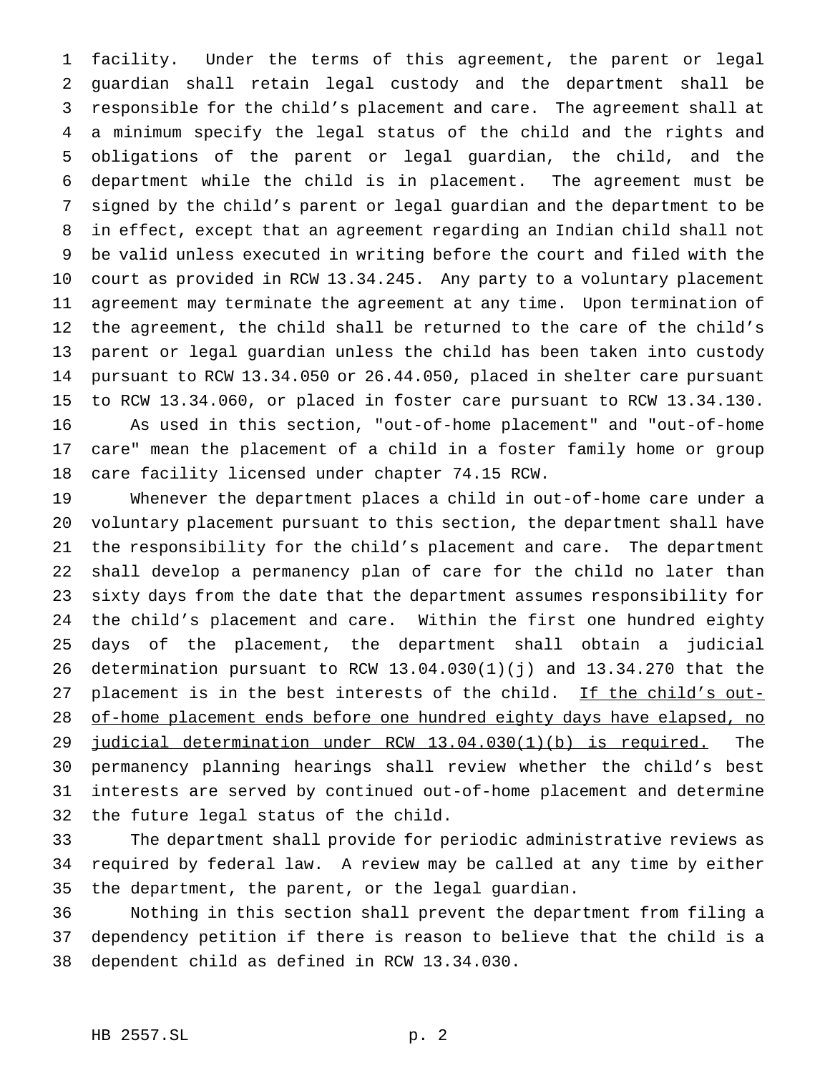facility. Under the terms of this agreement, the parent or legal guardian shall retain legal custody and the department shall be responsible for the child's placement and care. The agreement shall at a minimum specify the legal status of the child and the rights and obligations of the parent or legal guardian, the child, and the department while the child is in placement. The agreement must be signed by the child's parent or legal guardian and the department to be in effect, except that an agreement regarding an Indian child shall not be valid unless executed in writing before the court and filed with the court as provided in RCW 13.34.245. Any party to a voluntary placement agreement may terminate the agreement at any time. Upon termination of the agreement, the child shall be returned to the care of the child's parent or legal guardian unless the child has been taken into custody pursuant to RCW 13.34.050 or 26.44.050, placed in shelter care pursuant to RCW 13.34.060, or placed in foster care pursuant to RCW 13.34.130. As used in this section, "out-of-home placement" and "out-of-home care" mean the placement of a child in a foster family home or group care facility licensed under chapter 74.15 RCW.

 Whenever the department places a child in out-of-home care under a voluntary placement pursuant to this section, the department shall have the responsibility for the child's placement and care. The department shall develop a permanency plan of care for the child no later than sixty days from the date that the department assumes responsibility for the child's placement and care. Within the first one hundred eighty days of the placement, the department shall obtain a judicial determination pursuant to RCW 13.04.030(1)(j) and 13.34.270 that the placement is in the best interests of the child. If the child's out- of-home placement ends before one hundred eighty days have elapsed, no 29 judicial determination under RCW 13.04.030(1)(b) is required. The permanency planning hearings shall review whether the child's best interests are served by continued out-of-home placement and determine the future legal status of the child.

 The department shall provide for periodic administrative reviews as required by federal law. A review may be called at any time by either the department, the parent, or the legal guardian.

 Nothing in this section shall prevent the department from filing a dependency petition if there is reason to believe that the child is a dependent child as defined in RCW 13.34.030.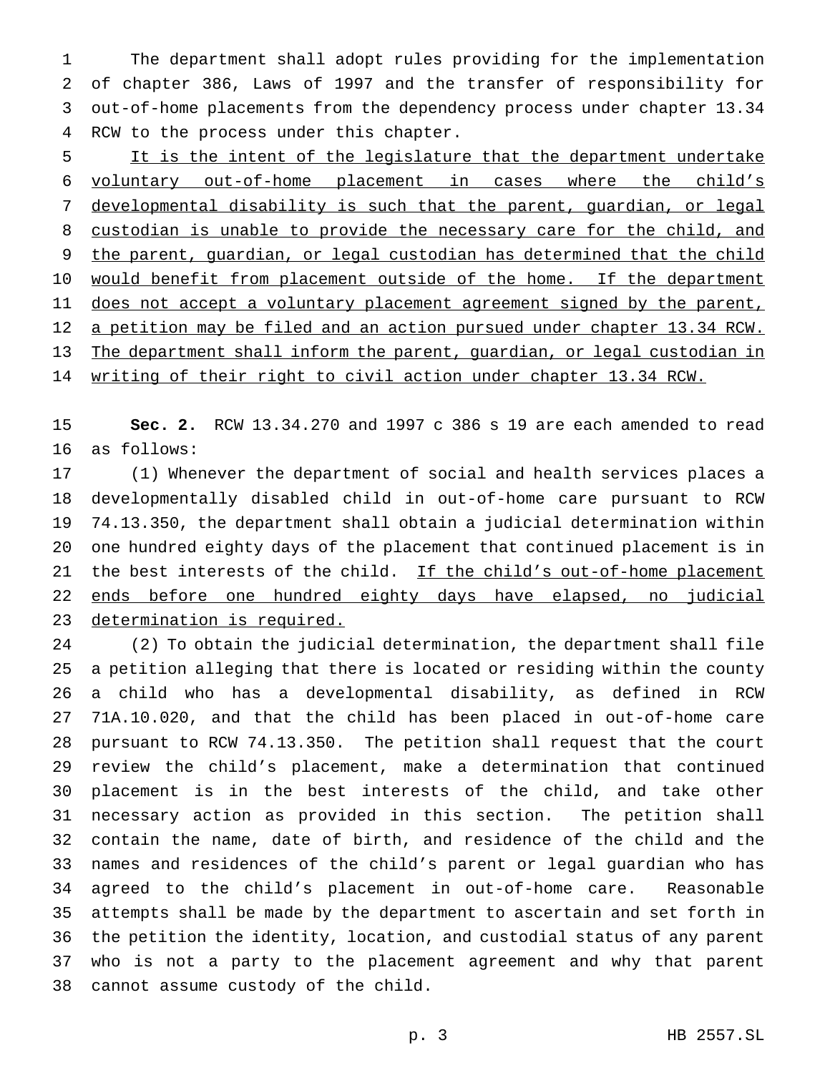The department shall adopt rules providing for the implementation of chapter 386, Laws of 1997 and the transfer of responsibility for out-of-home placements from the dependency process under chapter 13.34 RCW to the process under this chapter.

5 It is the intent of the legislature that the department undertake voluntary out-of-home placement in cases where the child's developmental disability is such that the parent, guardian, or legal custodian is unable to provide the necessary care for the child, and 9 the parent, guardian, or legal custodian has determined that the child 10 would benefit from placement outside of the home. If the department 11 does not accept a voluntary placement agreement signed by the parent, 12 a petition may be filed and an action pursued under chapter 13.34 RCW. The department shall inform the parent, guardian, or legal custodian in writing of their right to civil action under chapter 13.34 RCW.

 **Sec. 2.** RCW 13.34.270 and 1997 c 386 s 19 are each amended to read as follows:

 (1) Whenever the department of social and health services places a developmentally disabled child in out-of-home care pursuant to RCW 74.13.350, the department shall obtain a judicial determination within one hundred eighty days of the placement that continued placement is in 21 the best interests of the child. If the child's out-of-home placement ends before one hundred eighty days have elapsed, no judicial determination is required.

 (2) To obtain the judicial determination, the department shall file a petition alleging that there is located or residing within the county a child who has a developmental disability, as defined in RCW 71A.10.020, and that the child has been placed in out-of-home care pursuant to RCW 74.13.350. The petition shall request that the court review the child's placement, make a determination that continued placement is in the best interests of the child, and take other necessary action as provided in this section. The petition shall contain the name, date of birth, and residence of the child and the names and residences of the child's parent or legal guardian who has agreed to the child's placement in out-of-home care. Reasonable attempts shall be made by the department to ascertain and set forth in the petition the identity, location, and custodial status of any parent who is not a party to the placement agreement and why that parent cannot assume custody of the child.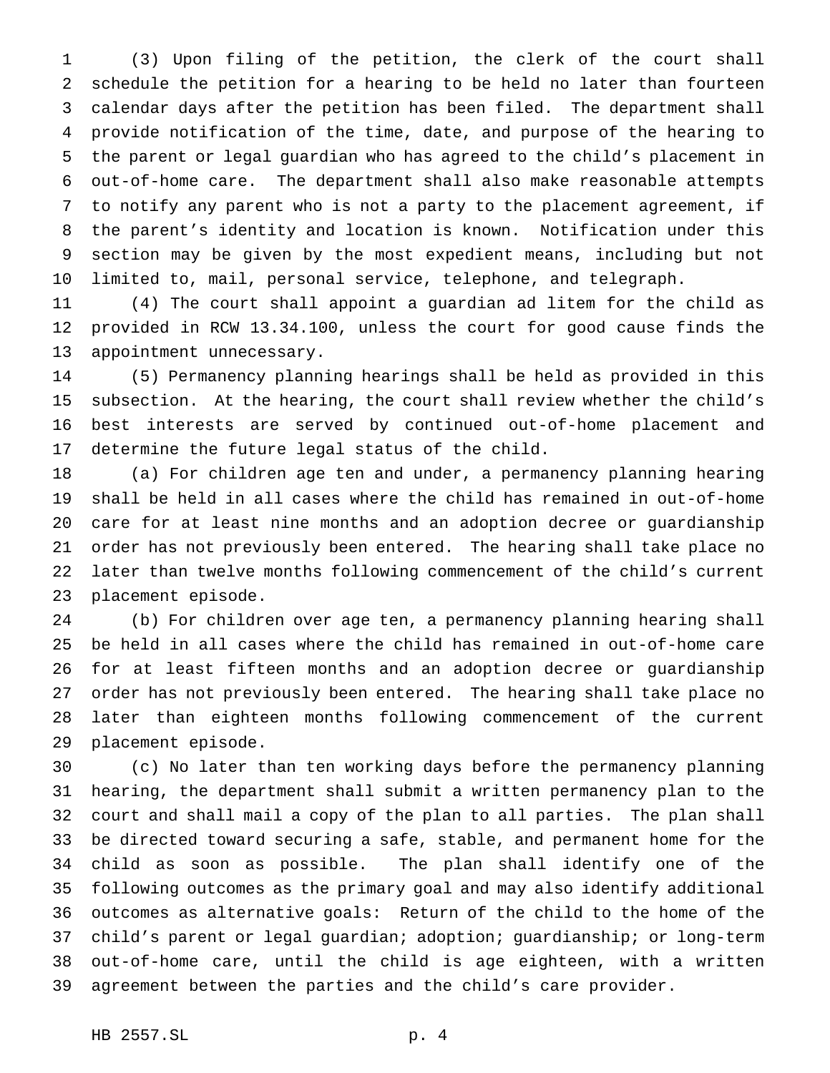(3) Upon filing of the petition, the clerk of the court shall schedule the petition for a hearing to be held no later than fourteen calendar days after the petition has been filed. The department shall provide notification of the time, date, and purpose of the hearing to the parent or legal guardian who has agreed to the child's placement in out-of-home care. The department shall also make reasonable attempts to notify any parent who is not a party to the placement agreement, if the parent's identity and location is known. Notification under this section may be given by the most expedient means, including but not limited to, mail, personal service, telephone, and telegraph.

 (4) The court shall appoint a guardian ad litem for the child as provided in RCW 13.34.100, unless the court for good cause finds the appointment unnecessary.

 (5) Permanency planning hearings shall be held as provided in this subsection. At the hearing, the court shall review whether the child's best interests are served by continued out-of-home placement and determine the future legal status of the child.

 (a) For children age ten and under, a permanency planning hearing shall be held in all cases where the child has remained in out-of-home care for at least nine months and an adoption decree or guardianship order has not previously been entered. The hearing shall take place no later than twelve months following commencement of the child's current placement episode.

 (b) For children over age ten, a permanency planning hearing shall be held in all cases where the child has remained in out-of-home care for at least fifteen months and an adoption decree or guardianship order has not previously been entered. The hearing shall take place no later than eighteen months following commencement of the current placement episode.

 (c) No later than ten working days before the permanency planning hearing, the department shall submit a written permanency plan to the court and shall mail a copy of the plan to all parties. The plan shall be directed toward securing a safe, stable, and permanent home for the child as soon as possible. The plan shall identify one of the following outcomes as the primary goal and may also identify additional outcomes as alternative goals: Return of the child to the home of the child's parent or legal guardian; adoption; guardianship; or long-term out-of-home care, until the child is age eighteen, with a written agreement between the parties and the child's care provider.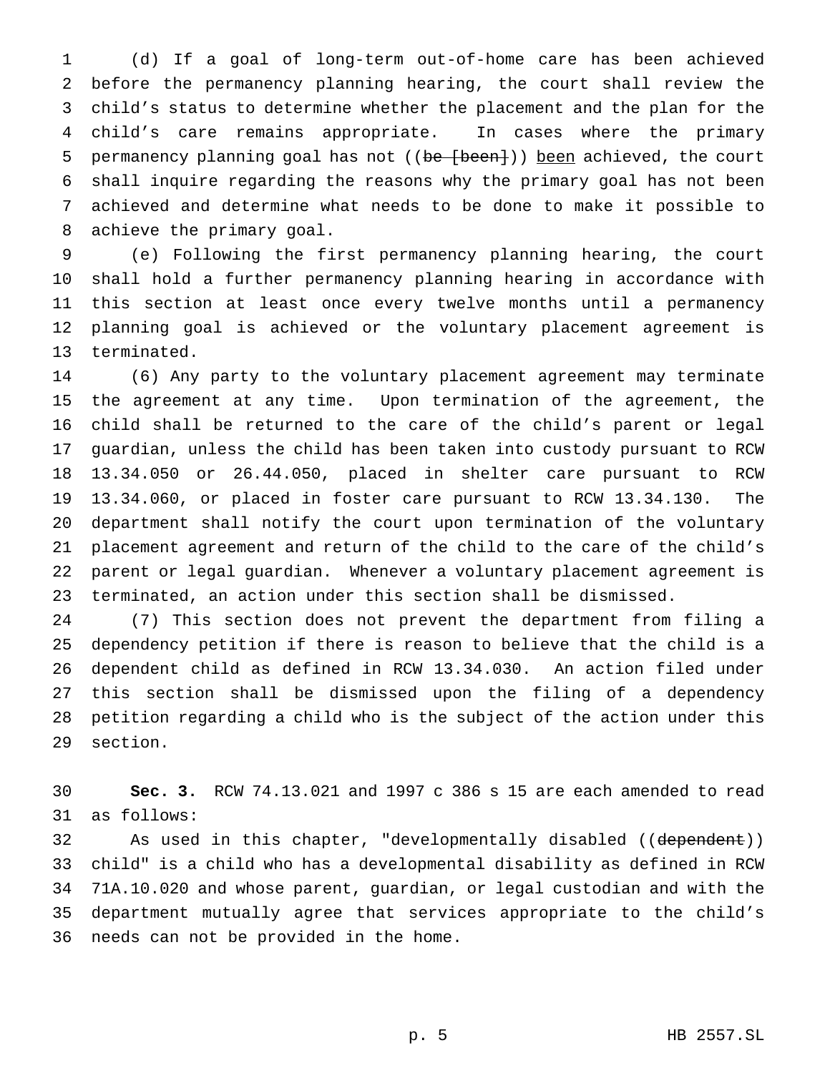(d) If a goal of long-term out-of-home care has been achieved before the permanency planning hearing, the court shall review the child's status to determine whether the placement and the plan for the child's care remains appropriate. In cases where the primary 5 permanency planning goal has not ((be [been])) been achieved, the court shall inquire regarding the reasons why the primary goal has not been achieved and determine what needs to be done to make it possible to achieve the primary goal.

 (e) Following the first permanency planning hearing, the court shall hold a further permanency planning hearing in accordance with this section at least once every twelve months until a permanency planning goal is achieved or the voluntary placement agreement is terminated.

 (6) Any party to the voluntary placement agreement may terminate the agreement at any time. Upon termination of the agreement, the child shall be returned to the care of the child's parent or legal guardian, unless the child has been taken into custody pursuant to RCW 13.34.050 or 26.44.050, placed in shelter care pursuant to RCW 13.34.060, or placed in foster care pursuant to RCW 13.34.130. The department shall notify the court upon termination of the voluntary placement agreement and return of the child to the care of the child's parent or legal guardian. Whenever a voluntary placement agreement is terminated, an action under this section shall be dismissed.

 (7) This section does not prevent the department from filing a dependency petition if there is reason to believe that the child is a dependent child as defined in RCW 13.34.030. An action filed under this section shall be dismissed upon the filing of a dependency petition regarding a child who is the subject of the action under this section.

 **Sec. 3.** RCW 74.13.021 and 1997 c 386 s 15 are each amended to read as follows:

32 As used in this chapter, "developmentally disabled ((dependent)) child" is a child who has a developmental disability as defined in RCW 71A.10.020 and whose parent, guardian, or legal custodian and with the department mutually agree that services appropriate to the child's needs can not be provided in the home.